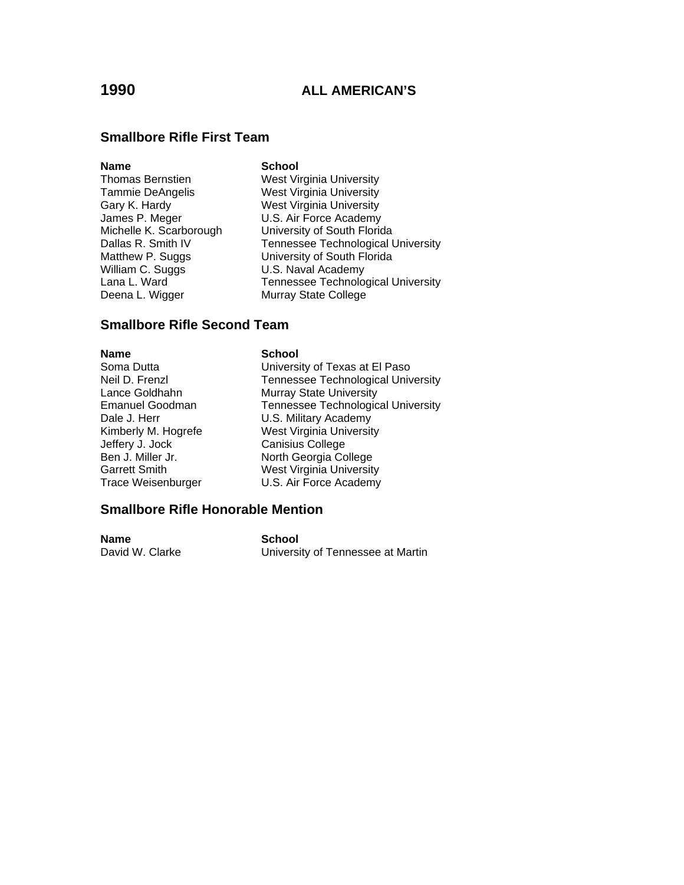#### **Smallbore Rifle First Team**

#### **Name** School

William C. Suggs U.S. Naval Academy Deena L. Wigger Murray State College

Thomas Bernstien West Virginia University Tammie DeAngelis West Virginia University Gary K. Hardy West Virginia University James P. Meger **U.S. Air Force Academy**<br>Michelle K. Scarborough **University of South Flori**c University of South Florida Dallas R. Smith IV Tennessee Technological University Matthew P. Suggs University of South Florida Lana L. Ward **Tennessee Technological University** 

#### **Smallbore Rifle Second Team**

**Name School** 

Jeffery J. Jock Canisius College

Soma Dutta **University of Texas at El Paso** Neil D. Frenzl Tennessee Technological University Lance Goldhahn Murray State University Emanuel Goodman Tennessee Technological University Dale J. Herr **U.S. Military Academy** Kimberly M. Hogrefe West Virginia University North Georgia College Garrett Smith West Virginia University Trace Weisenburger U.S. Air Force Academy

#### **Smallbore Rifle Honorable Mention**

**Name School**<br>David W. Clarke **School**<br>David W. Clarke University of Tennessee at Martin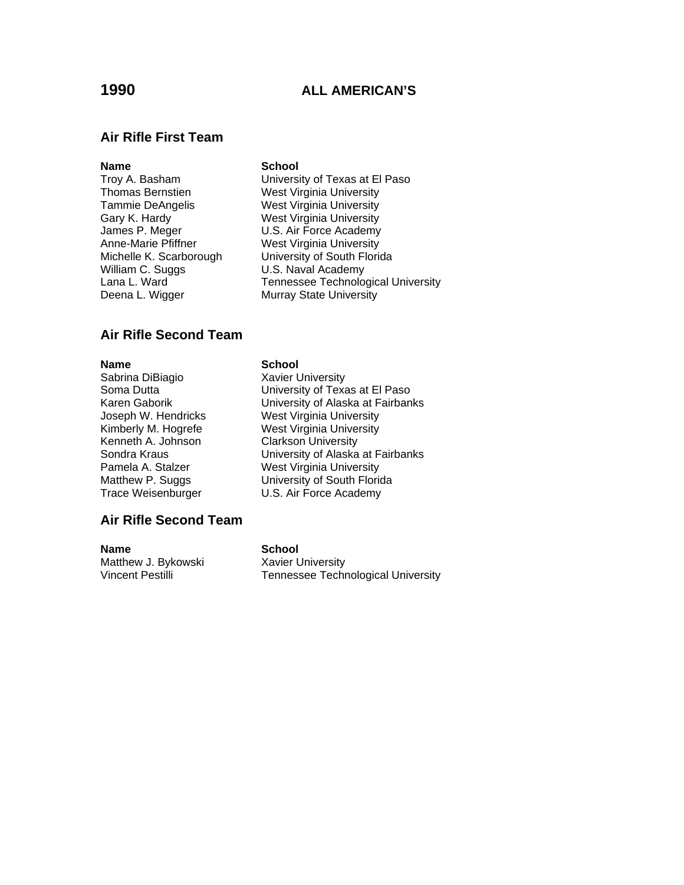#### **Air Rifle First Team**

#### **Name** School

William C. Suggs U.S. Naval Academy Deena L. Wigger Murray State University

Troy A. Basham University of Texas at El Paso Thomas Bernstien **West Virginia University**<br>Tammie DeAngelis **West Virginia University** West Virginia University Gary K. Hardy Mest Virginia University James P. Meger **V.S. Air Force Academy**<br>
Anne-Marie Pfiffner **West Virginia University West Virginia University** Michelle K. Scarborough University of South Florida Lana L. Ward **Tennessee Technological University** 

#### **Air Rifle Second Team**

**Name**<br>
Sabrina DiBiagio<br>
Sabrina DiBiagio<br>
Savier U Kenneth A. Johnson Clarkson University

#### **Air Rifle Second Team**

**Name** School Matthew J. Bykowski Xavier University

**Xavier University** Soma Dutta **Company** University of Texas at El Paso Karen Gaborik University of Alaska at Fairbanks Joseph W. Hendricks West Virginia University Kimberly M. Hogrefe West Virginia University Sondra Kraus **Iniversity of Alaska at Fairbanks**<br>
Pamela A. Stalzer **Net Villam West Virginia University** West Virginia University Matthew P. Suggs University of South Florida Trace Weisenburger U.S. Air Force Academy

Vincent Pestilli Tennessee Technological University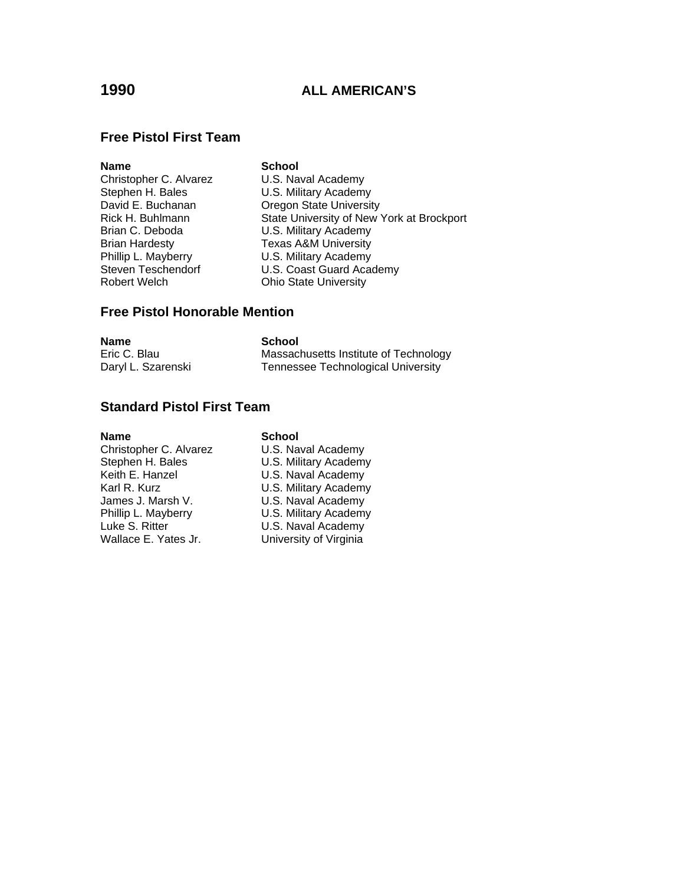#### **Free Pistol First Team**

| <b>Name</b>            | <b>School</b>                             |
|------------------------|-------------------------------------------|
| Christopher C. Alvarez | U.S. Naval Academy                        |
| Stephen H. Bales       | U.S. Military Academy                     |
| David E. Buchanan      | <b>Oregon State University</b>            |
| Rick H. Buhlmann       | State University of New York at Brockport |
| Brian C. Deboda        | U.S. Military Academy                     |
| <b>Brian Hardesty</b>  | <b>Texas A&amp;M University</b>           |
| Phillip L. Mayberry    | U.S. Military Academy                     |
| Steven Teschendorf     | U.S. Coast Guard Academy                  |
| <b>Robert Welch</b>    | <b>Ohio State University</b>              |

#### **Free Pistol Honorable Mention**

| Name               | School                                    |
|--------------------|-------------------------------------------|
| Eric C. Blau       | Massachusetts Institute of Technology     |
| Daryl L. Szarenski | <b>Tennessee Technological University</b> |

## **Standard Pistol First Team**

# **Name** School

Christopher C. Alvarez U.S. Naval Academy<br>Stephen H. Bales U.S. Military Academy Stephen H. Bales<br>
Keith E. Hanzel U.S. Naval Academy U.S. Naval Academy Karl R. Kurz **U.S. Military Academy**<br>James J. Marsh V. **U.S. Naval Academy** James J. Marsh V. U.S. Naval Academy<br>
Phillip L. Mayberry U.S. Military Academy U.S. Military Academy Luke S. Ritter **U.S. Naval Academy**<br>
Wallace E. Yates Jr. **University of Virginia** University of Virginia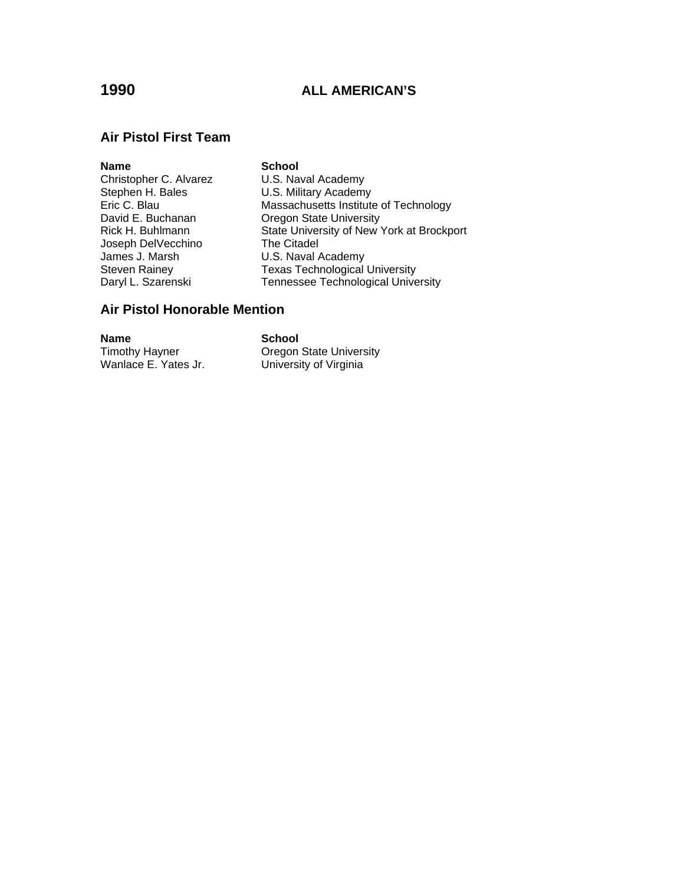#### **Air Pistol First Team**

# **Name** School Christopher C. Alvarez U.S. Naval Academy<br>Stephen H. Bales U.S. Military Academy Joseph DelVecchino The Citadel James J. Marsh U.S. Naval Academy

Stephen H. Bales **U.S. Military Academy**<br> **Eric C. Blau** Massachusetts Institute Eric C. Blau Massachusetts Institute of Technology<br>
David E. Buchanan Cregon State University David E. Buchanan **Dianual Company** Oregon State University Rick H. Buhlmann State University of New York at Brockport Steven Rainey **Texas Technological University**<br>
Daryl L. Szarenski **Tennessee Technological Unive** Tennessee Technological University

## **Air Pistol Honorable Mention**

**Name School**<br> **Timothy Hayner Cregon** 

Timothy Hayner<br>
Wanlace E. Yates Jr. 
University of Virginia University of Virginia